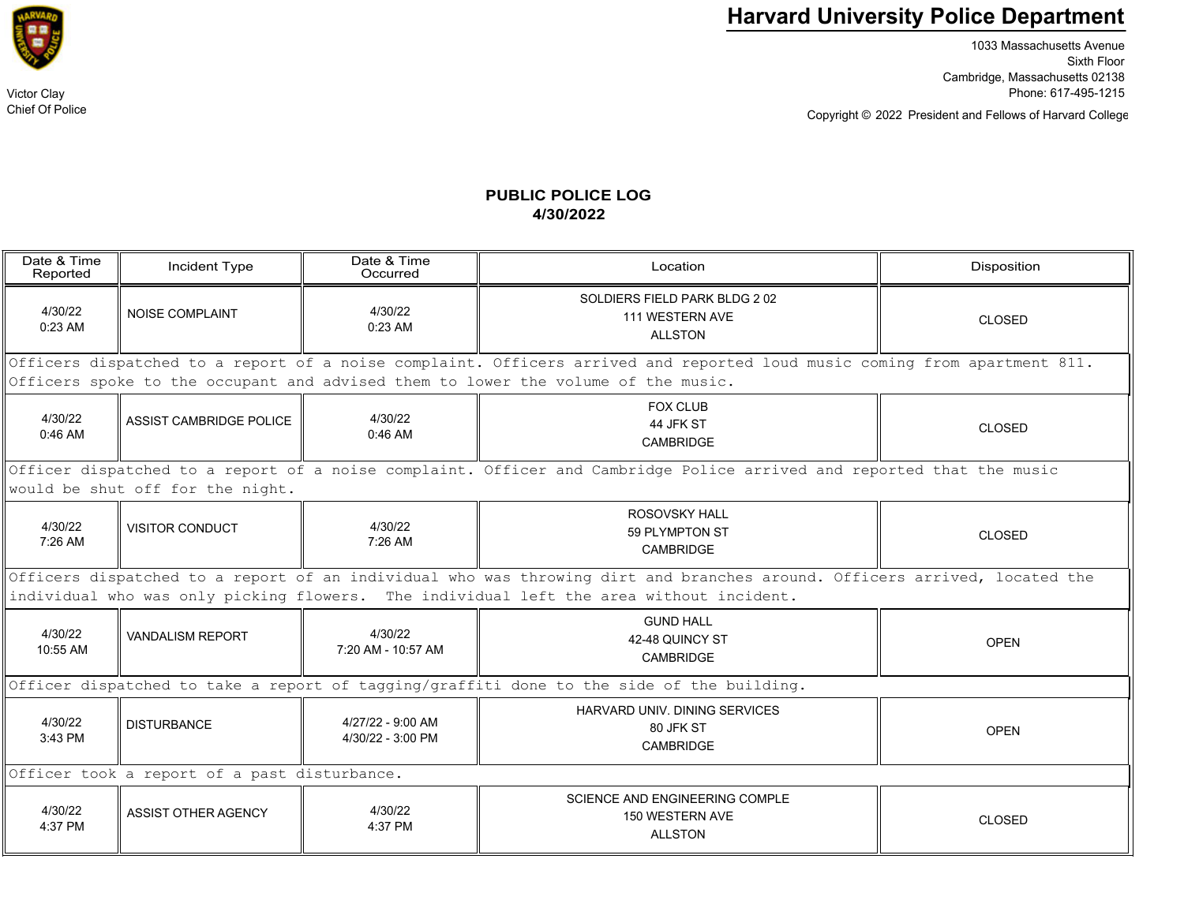## **Harvard University Police Department**

1033 Massachusetts Avenue Sixth Floor Cambridge, Massachusetts 02138 Victor Clay Phone: 617-495-1215

Copyright © President and Fellows of Harvard College 2022

## **PUBLIC POLICE LOG4/30/2022**

| Date & Time<br>Reported                                                                                                                                   | Incident Type                  | Date & Time<br>Occurred                | Location                                                                   | Disposition   |  |  |  |
|-----------------------------------------------------------------------------------------------------------------------------------------------------------|--------------------------------|----------------------------------------|----------------------------------------------------------------------------|---------------|--|--|--|
| 4/30/22<br>$0:23$ AM                                                                                                                                      | <b>NOISE COMPLAINT</b>         | 4/30/22<br>$0:23$ AM                   | SOLDIERS FIELD PARK BLDG 202<br>111 WESTERN AVE<br><b>ALLSTON</b>          | <b>CLOSED</b> |  |  |  |
| Officers dispatched to a report of a noise complaint. Officers arrived and reported loud music coming from apartment 811.                                 |                                |                                        |                                                                            |               |  |  |  |
| Officers spoke to the occupant and advised them to lower the volume of the music.                                                                         |                                |                                        |                                                                            |               |  |  |  |
| 4/30/22<br>$0:46$ AM                                                                                                                                      | <b>ASSIST CAMBRIDGE POLICE</b> | 4/30/22<br>$0:46$ AM                   | <b>FOX CLUB</b><br>44 JFK ST<br>CAMBRIDGE                                  | <b>CLOSED</b> |  |  |  |
| Officer dispatched to a report of a noise complaint. Officer and Cambridge Police arrived and reported that the music<br>would be shut off for the night. |                                |                                        |                                                                            |               |  |  |  |
| 4/30/22<br>7:26 AM                                                                                                                                        | <b>VISITOR CONDUCT</b>         | 4/30/22<br>$7:26$ AM                   | ROSOVSKY HALL<br>59 PLYMPTON ST<br>CAMBRIDGE                               | <b>CLOSED</b> |  |  |  |
| Officers dispatched to a report of an individual who was throwing dirt and branches around. Officers arrived, located the                                 |                                |                                        |                                                                            |               |  |  |  |
| individual who was only picking flowers. The individual left the area without incident.                                                                   |                                |                                        |                                                                            |               |  |  |  |
| 4/30/22<br>10:55 AM                                                                                                                                       | <b>VANDALISM REPORT</b>        | 4/30/22<br>7:20 AM - 10:57 AM          | <b>GUND HALL</b><br>42-48 QUINCY ST<br>CAMBRIDGE                           | <b>OPEN</b>   |  |  |  |
| Officer dispatched to take a report of tagging/graffiti done to the side of the building.                                                                 |                                |                                        |                                                                            |               |  |  |  |
| 4/30/22<br>3:43 PM                                                                                                                                        | <b>DISTURBANCE</b>             | 4/27/22 - 9:00 AM<br>4/30/22 - 3:00 PM | HARVARD UNIV. DINING SERVICES<br>80 JFK ST<br>CAMBRIDGE                    | <b>OPEN</b>   |  |  |  |
| Officer took a report of a past disturbance.                                                                                                              |                                |                                        |                                                                            |               |  |  |  |
| 4/30/22<br>4:37 PM                                                                                                                                        | <b>ASSIST OTHER AGENCY</b>     | 4/30/22<br>4:37 PM                     | <b>SCIENCE AND ENGINEERING COMPLE</b><br>150 WESTERN AVE<br><b>ALLSTON</b> | <b>CLOSED</b> |  |  |  |



Chief Of Police